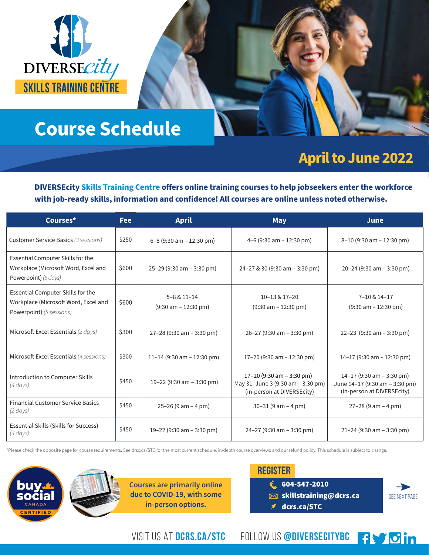

# **Course Schedule**

## **April to June 2022**

**DIVERSEcity Skills Training Centre offers online training courses to help jobseekers enter the workforce with job-ready skills, information and confidence! All courses are online unless noted otherwise.**

| Courses*                                                                                                     | <b>Fee</b> | <b>April</b>                                                | <b>May</b>                                                                                   | <b>June</b>                                                                               |
|--------------------------------------------------------------------------------------------------------------|------------|-------------------------------------------------------------|----------------------------------------------------------------------------------------------|-------------------------------------------------------------------------------------------|
| <b>Customer Service Basics (3 sessions)</b>                                                                  | \$250      | $6-8$ (9:30 am $-12:30$ pm)                                 | 4-6 (9:30 am $-$ 12:30 pm)                                                                   | $8-10$ (9:30 am $-12:30$ pm)                                                              |
| Essential Computer Skills for the<br>Workplace (Microsoft Word, Excel and<br>Powerpoint) $(5 \, days)$       | \$600      | $25-29$ (9:30 am $-3:30$ pm)                                | $24 - 27$ & 30 (9:30 am – 3:30 pm)                                                           | 20-24 (9:30 am $-$ 3:30 pm)                                                               |
| Essential Computer Skills for the<br>Workplace (Microsoft Word, Excel and<br><b>Powerpoint)</b> (8 sessions) | \$600      | $5 - 8 & 11 - 14$<br>$(9:30 \text{ am} - 12:30 \text{ pm})$ | 10-13 & 17-20<br>$(9:30 \text{ am} - 12:30 \text{ pm})$                                      | 7-10 & 14-17<br>$(9:30 \text{ am} - 12:30 \text{ pm})$                                    |
| Microsoft Excel Essentials (2 days)                                                                          | \$300      | $27 - 28$ (9:30 am $- 3:30$ pm)                             | $26 - 27$ (9:30 am $- 3:30$ pm)                                                              | 22-23 $(9:30 \text{ am} - 3:30 \text{ pm})$                                               |
| Microsoft Excel Essentials (4 sessions)                                                                      | \$300      | 11-14 (9:30 am $-$ 12:30 pm)                                | 17-20 (9:30 am $-$ 12:30 pm)                                                                 | 14-17 (9:30 am - 12:30 pm)                                                                |
| Introduction to Computer Skills<br>$(4 \, days)$                                                             | \$450      | 19-22 (9:30 am $-$ 3:30 pm)                                 | 17-20 (9:30 am - 3:30 pm)<br>May 31-June 3 (9:30 am - 3:30 pm)<br>(in-person at DIVERSEcity) | 14-17 (9:30 am - 3:30 pm)<br>June 14-17 (9:30 am - 3:30 pm)<br>(in-person at DIVERSEcity) |
| <b>Financial Customer Service Basics</b><br>$(2 \, days)$                                                    | \$450      | $25-26$ (9 am $-4$ pm)                                      | $30-31$ (9 am $-4$ pm)                                                                       | $27 - 28$ (9 am $- 4$ pm)                                                                 |
| Essential Skills (Skills for Success)<br>(4 days)                                                            | \$450      | 19-22 (9:30 am $-$ 3:30 pm)                                 | $24 - 27$ (9:30 am $- 3:30$ pm)                                                              | $21 - 24$ (9:30 am $- 3:30$ pm)                                                           |

\*Please check the opposite page for course requirements. See drsc.ca/STC for the most current schedule, in-depth course overviews and our refund policy. This schedule is subject to change.





| <b>REGISTER</b> |                                    |  |  |
|-----------------|------------------------------------|--|--|
|                 | $\binom{8}{3}$ 604-547-2010        |  |  |
|                 | $\boxtimes$ skillstraining@dcrs.ca |  |  |
|                 | $\n  d crs.ca/STC\n$               |  |  |



VISIT US AT DCRS.CA/STC | FOLLOW US @DIVERSECITYBC | { \ 6